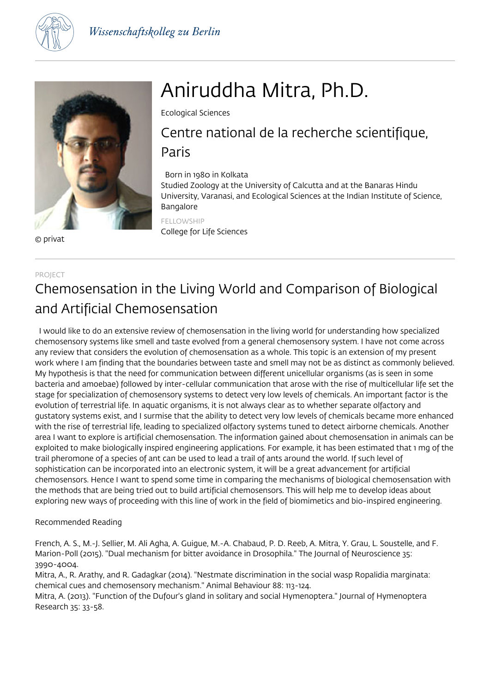



© privat

# Aniruddha Mitra, Ph.D.

Ecological Sciences

# Centre national de la recherche scientifique, Paris

## Born in 1980 in Kolkata

Studied Zoology at the University of Calcutta and at the Banaras Hindu University, Varanasi, and Ecological Sciences at the Indian Institute of Science, Bangalore

FELLOWSHIP College for Life Sciences

### PROJECT

# Chemosensation in the Living World and Comparison of Biological and Artificial Chemosensation

 I would like to do an extensive review of chemosensation in the living world for understanding how specialized chemosensory systems like smell and taste evolved from a general chemosensory system. I have not come across any review that considers the evolution of chemosensation as a whole. This topic is an extension of my present work where I am finding that the boundaries between taste and smell may not be as distinct as commonly believed. My hypothesis is that the need for communication between different unicellular organisms (as is seen in some bacteria and amoebae) followed by inter-cellular communication that arose with the rise of multicellular life set the stage for specialization of chemosensory systems to detect very low levels of chemicals. An important factor is the evolution of terrestrial life. In aquatic organisms, it is not always clear as to whether separate olfactory and gustatory systems exist, and I surmise that the ability to detect very low levels of chemicals became more enhanced with the rise of terrestrial life, leading to specialized olfactory systems tuned to detect airborne chemicals. Another area I want to explore is artificial chemosensation. The information gained about chemosensation in animals can be exploited to make biologically inspired engineering applications. For example, it has been estimated that 1 mg of the trail pheromone of a species of ant can be used to lead a trail of ants around the world. If such level of sophistication can be incorporated into an electronic system, it will be a great advancement for artificial chemosensors. Hence I want to spend some time in comparing the mechanisms of biological chemosensation with the methods that are being tried out to build artificial chemosensors. This will help me to develop ideas about exploring new ways of proceeding with this line of work in the field of biomimetics and bio-inspired engineering.

### Recommended Reading

French, A. S., M.-J. Sellier, M. Ali Agha, A. Guigue, M.-A. Chabaud, P. D. Reeb, A. Mitra, Y. Grau, L. Soustelle, and F. Marion-Poll (2015). "Dual mechanism for bitter avoidance in Drosophila." The Journal of Neuroscience 35: 3990-4004.

Mitra, A., R. Arathy, and R. Gadagkar (2014). "Nestmate discrimination in the social wasp Ropalidia marginata: chemical cues and chemosensory mechanism." Animal Behaviour 88: 113-124.

Mitra, A. (2013). "Function of the Dufour's gland in solitary and social Hymenoptera." Journal of Hymenoptera Research 35: 33-58.